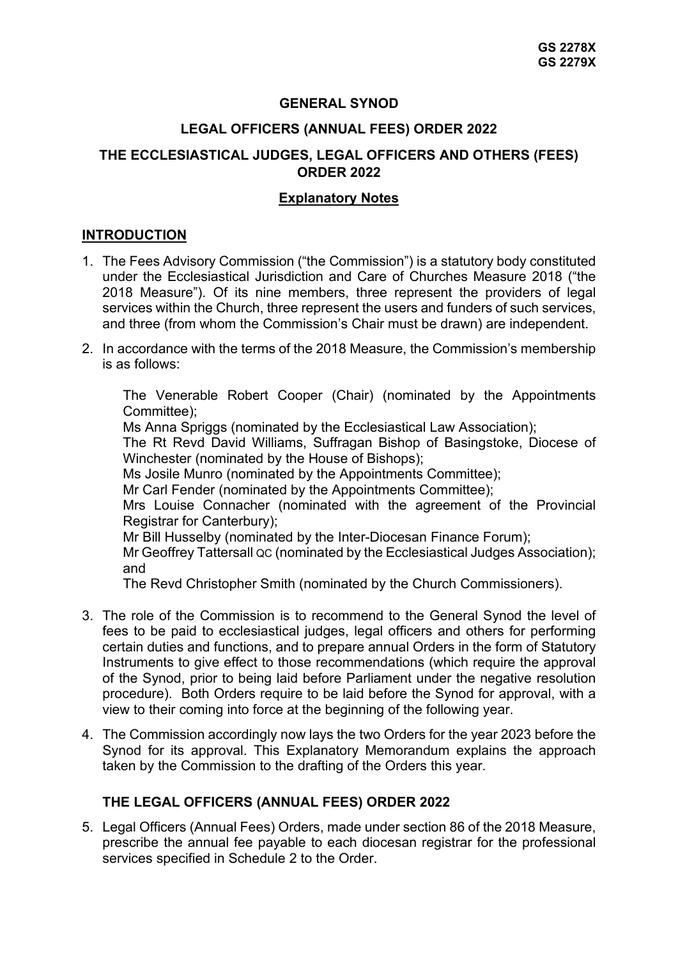# **GENERAL SYNOD**

#### **LEGAL OFFICERS (ANNUAL FEES) ORDER 2022**

### **THE ECCLESIASTICAL JUDGES, LEGAL OFFICERS AND OTHERS (FEES) ORDER 2022**

#### **Explanatory Notes**

#### **INTRODUCTION**

- 1. The Fees Advisory Commission ("the Commission") is a statutory body constituted under the Ecclesiastical Jurisdiction and Care of Churches Measure 2018 ("the 2018 Measure"). Of its nine members, three represent the providers of legal services within the Church, three represent the users and funders of such services, and three (from whom the Commission's Chair must be drawn) are independent.
- 2. In accordance with the terms of the 2018 Measure, the Commission's membership is as follows:

The Venerable Robert Cooper (Chair) (nominated by the Appointments Committee);

Ms Anna Spriggs (nominated by the Ecclesiastical Law Association);

The Rt Revd David Williams, Suffragan Bishop of Basingstoke, Diocese of Winchester (nominated by the House of Bishops);

Ms Josile Munro (nominated by the Appointments Committee);

Mr Carl Fender (nominated by the Appointments Committee);

Mrs Louise Connacher (nominated with the agreement of the Provincial Registrar for Canterbury);

Mr Bill Husselby (nominated by the Inter-Diocesan Finance Forum);

Mr Geoffrey Tattersall QC (nominated by the Ecclesiastical Judges Association); and

The Revd Christopher Smith (nominated by the Church Commissioners).

- 3. The role of the Commission is to recommend to the General Synod the level of fees to be paid to ecclesiastical judges, legal officers and others for performing certain duties and functions, and to prepare annual Orders in the form of Statutory Instruments to give effect to those recommendations (which require the approval of the Synod, prior to being laid before Parliament under the negative resolution procedure). Both Orders require to be laid before the Synod for approval, with a view to their coming into force at the beginning of the following year.
- 4. The Commission accordingly now lays the two Orders for the year 2023 before the Synod for its approval. This Explanatory Memorandum explains the approach taken by the Commission to the drafting of the Orders this year.

### **THE LEGAL OFFICERS (ANNUAL FEES) ORDER 2022**

5. Legal Officers (Annual Fees) Orders, made under section 86 of the 2018 Measure, prescribe the annual fee payable to each diocesan registrar for the professional services specified in Schedule 2 to the Order.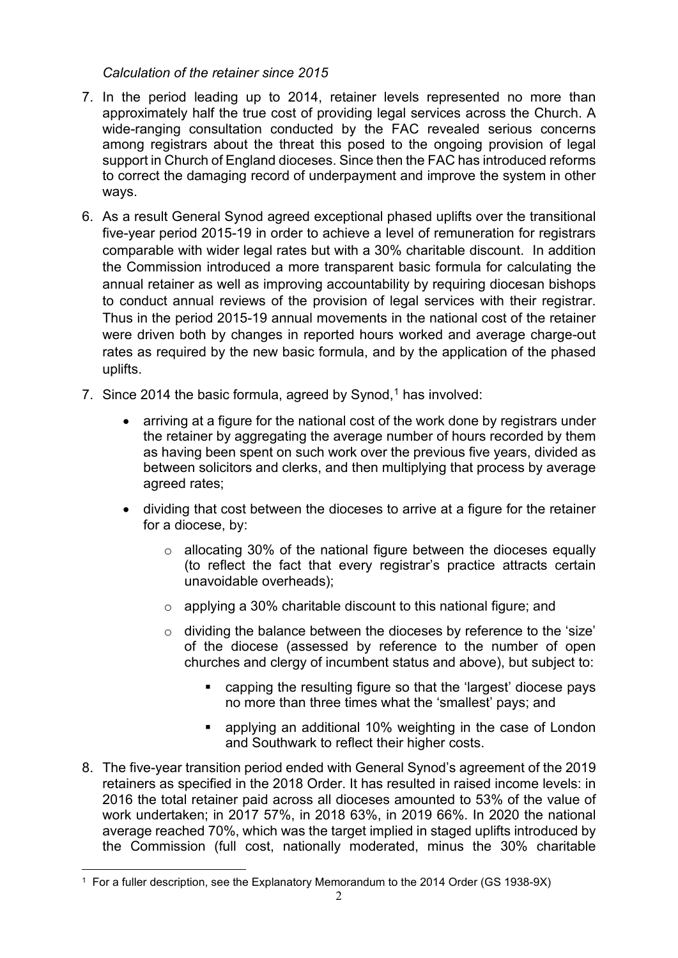# *Calculation of the retainer since 2015*

- 7. In the period leading up to 2014, retainer levels represented no more than approximately half the true cost of providing legal services across the Church. A wide-ranging consultation conducted by the FAC revealed serious concerns among registrars about the threat this posed to the ongoing provision of legal support in Church of England dioceses. Since then the FAC has introduced reforms to correct the damaging record of underpayment and improve the system in other ways.
- 6. As a result General Synod agreed exceptional phased uplifts over the transitional five-year period 2015-19 in order to achieve a level of remuneration for registrars comparable with wider legal rates but with a 30% charitable discount. In addition the Commission introduced a more transparent basic formula for calculating the annual retainer as well as improving accountability by requiring diocesan bishops to conduct annual reviews of the provision of legal services with their registrar. Thus in the period 2015-19 annual movements in the national cost of the retainer were driven both by changes in reported hours worked and average charge-out rates as required by the new basic formula, and by the application of the phased uplifts.
- 7. Since 20[1](#page-1-0)4 the basic formula, agreed by Synod, $1$  has involved:
	- arriving at a figure for the national cost of the work done by registrars under the retainer by aggregating the average number of hours recorded by them as having been spent on such work over the previous five years, divided as between solicitors and clerks, and then multiplying that process by average agreed rates;
	- dividing that cost between the dioceses to arrive at a figure for the retainer for a diocese, by:
		- $\circ$  allocating 30% of the national figure between the dioceses equally (to reflect the fact that every registrar's practice attracts certain unavoidable overheads);
		- o applying a 30% charitable discount to this national figure; and
		- o dividing the balance between the dioceses by reference to the 'size' of the diocese (assessed by reference to the number of open churches and clergy of incumbent status and above), but subject to:
			- capping the resulting figure so that the 'largest' diocese pays no more than three times what the 'smallest' pays; and
			- applying an additional 10% weighting in the case of London and Southwark to reflect their higher costs.
- 8. The five-year transition period ended with General Synod's agreement of the 2019 retainers as specified in the 2018 Order. It has resulted in raised income levels: in 2016 the total retainer paid across all dioceses amounted to 53% of the value of work undertaken; in 2017 57%, in 2018 63%, in 2019 66%. In 2020 the national average reached 70%, which was the target implied in staged uplifts introduced by the Commission (full cost, nationally moderated, minus the 30% charitable

<span id="page-1-0"></span><sup>1</sup> For a fuller description, see the Explanatory Memorandum to the 2014 Order (GS 1938-9X)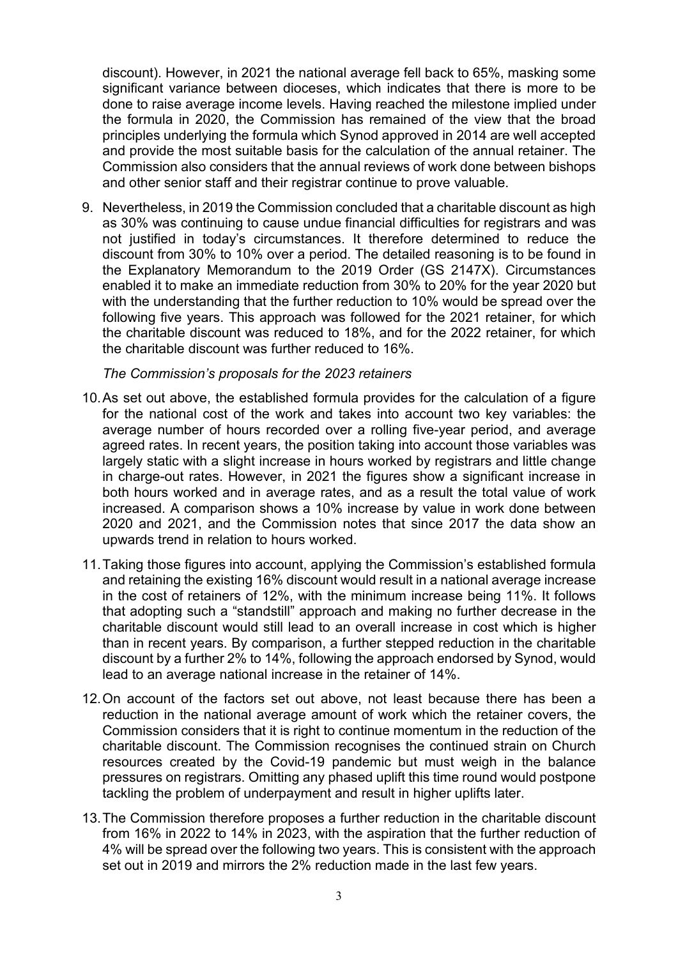discount). However, in 2021 the national average fell back to 65%, masking some significant variance between dioceses, which indicates that there is more to be done to raise average income levels. Having reached the milestone implied under the formula in 2020, the Commission has remained of the view that the broad principles underlying the formula which Synod approved in 2014 are well accepted and provide the most suitable basis for the calculation of the annual retainer. The Commission also considers that the annual reviews of work done between bishops and other senior staff and their registrar continue to prove valuable.

9. Nevertheless, in 2019 the Commission concluded that a charitable discount as high as 30% was continuing to cause undue financial difficulties for registrars and was not justified in today's circumstances. It therefore determined to reduce the discount from 30% to 10% over a period. The detailed reasoning is to be found in the Explanatory Memorandum to the 2019 Order (GS 2147X). Circumstances enabled it to make an immediate reduction from 30% to 20% for the year 2020 but with the understanding that the further reduction to 10% would be spread over the following five years. This approach was followed for the 2021 retainer, for which the charitable discount was reduced to 18%, and for the 2022 retainer, for which the charitable discount was further reduced to 16%.

#### *The Commission's proposals for the 2023 retainers*

- 10.As set out above, the established formula provides for the calculation of a figure for the national cost of the work and takes into account two key variables: the average number of hours recorded over a rolling five-year period, and average agreed rates. In recent years, the position taking into account those variables was largely static with a slight increase in hours worked by registrars and little change in charge-out rates. However, in 2021 the figures show a significant increase in both hours worked and in average rates, and as a result the total value of work increased. A comparison shows a 10% increase by value in work done between 2020 and 2021, and the Commission notes that since 2017 the data show an upwards trend in relation to hours worked.
- 11.Taking those figures into account, applying the Commission's established formula and retaining the existing 16% discount would result in a national average increase in the cost of retainers of 12%, with the minimum increase being 11%. It follows that adopting such a "standstill" approach and making no further decrease in the charitable discount would still lead to an overall increase in cost which is higher than in recent years. By comparison, a further stepped reduction in the charitable discount by a further 2% to 14%, following the approach endorsed by Synod, would lead to an average national increase in the retainer of 14%.
- 12.On account of the factors set out above, not least because there has been a reduction in the national average amount of work which the retainer covers, the Commission considers that it is right to continue momentum in the reduction of the charitable discount. The Commission recognises the continued strain on Church resources created by the Covid-19 pandemic but must weigh in the balance pressures on registrars. Omitting any phased uplift this time round would postpone tackling the problem of underpayment and result in higher uplifts later.
- 13.The Commission therefore proposes a further reduction in the charitable discount from 16% in 2022 to 14% in 2023, with the aspiration that the further reduction of 4% will be spread over the following two years. This is consistent with the approach set out in 2019 and mirrors the 2% reduction made in the last few years.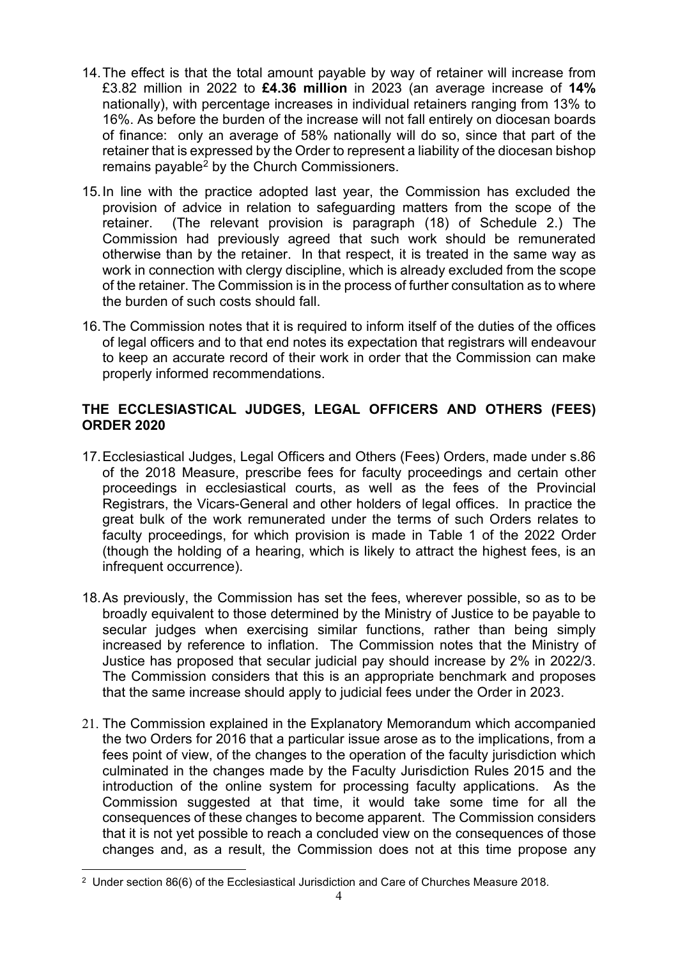- 14.The effect is that the total amount payable by way of retainer will increase from £3.82 million in 2022 to **£4.36 million** in 2023 (an average increase of **14%** nationally), with percentage increases in individual retainers ranging from 13% to 16%. As before the burden of the increase will not fall entirely on diocesan boards of finance: only an average of 58% nationally will do so, since that part of the retainer that is expressed by the Order to represent a liability of the diocesan bishop remains payable<sup>[2](#page-3-0)</sup> by the Church Commissioners.
- 15.In line with the practice adopted last year, the Commission has excluded the provision of advice in relation to safeguarding matters from the scope of the retainer. (The relevant provision is paragraph (18) of Schedule 2.) The Commission had previously agreed that such work should be remunerated otherwise than by the retainer. In that respect, it is treated in the same way as work in connection with clergy discipline, which is already excluded from the scope of the retainer. The Commission is in the process of further consultation as to where the burden of such costs should fall.
- 16.The Commission notes that it is required to inform itself of the duties of the offices of legal officers and to that end notes its expectation that registrars will endeavour to keep an accurate record of their work in order that the Commission can make properly informed recommendations.

# **THE ECCLESIASTICAL JUDGES, LEGAL OFFICERS AND OTHERS (FEES) ORDER 2020**

- 17.Ecclesiastical Judges, Legal Officers and Others (Fees) Orders, made under s.86 of the 2018 Measure, prescribe fees for faculty proceedings and certain other proceedings in ecclesiastical courts, as well as the fees of the Provincial Registrars, the Vicars-General and other holders of legal offices. In practice the great bulk of the work remunerated under the terms of such Orders relates to faculty proceedings, for which provision is made in Table 1 of the 2022 Order (though the holding of a hearing, which is likely to attract the highest fees, is an infrequent occurrence).
- 18.As previously, the Commission has set the fees, wherever possible, so as to be broadly equivalent to those determined by the Ministry of Justice to be payable to secular judges when exercising similar functions, rather than being simply increased by reference to inflation. The Commission notes that the Ministry of Justice has proposed that secular judicial pay should increase by 2% in 2022/3. The Commission considers that this is an appropriate benchmark and proposes that the same increase should apply to judicial fees under the Order in 2023.
- 21. The Commission explained in the Explanatory Memorandum which accompanied the two Orders for 2016 that a particular issue arose as to the implications, from a fees point of view, of the changes to the operation of the faculty jurisdiction which culminated in the changes made by the Faculty Jurisdiction Rules 2015 and the introduction of the online system for processing faculty applications. As the Commission suggested at that time, it would take some time for all the consequences of these changes to become apparent. The Commission considers that it is not yet possible to reach a concluded view on the consequences of those changes and, as a result, the Commission does not at this time propose any

<span id="page-3-0"></span><sup>&</sup>lt;sup>2</sup> Under section 86(6) of the Ecclesiastical Jurisdiction and Care of Churches Measure 2018.